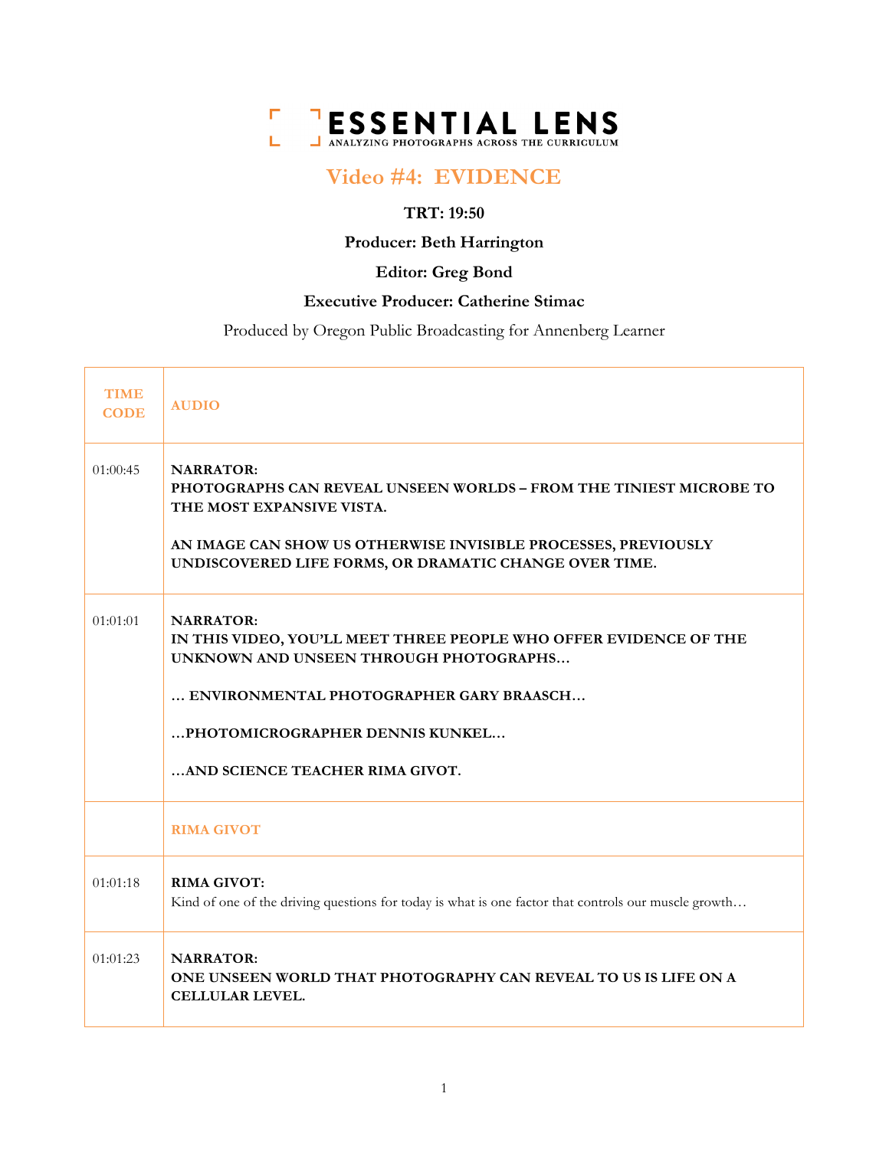

# **Video #4: EVIDENCE**

# **TRT: 19:50**

# **Producer: Beth Harrington**

# **Editor: Greg Bond**

# **Executive Producer: Catherine Stimac**

Produced by Oregon Public Broadcasting for Annenberg Learner

| <b>TIME</b><br><b>CODE</b> | <b>AUDIO</b>                                                                                                                                                                                                                                     |
|----------------------------|--------------------------------------------------------------------------------------------------------------------------------------------------------------------------------------------------------------------------------------------------|
| 01:00:45                   | <b>NARRATOR:</b><br>PHOTOGRAPHS CAN REVEAL UNSEEN WORLDS - FROM THE TINIEST MICROBE TO<br>THE MOST EXPANSIVE VISTA.<br>AN IMAGE CAN SHOW US OTHERWISE INVISIBLE PROCESSES, PREVIOUSLY<br>UNDISCOVERED LIFE FORMS, OR DRAMATIC CHANGE OVER TIME.  |
| 01:01:01                   | <b>NARRATOR:</b><br>IN THIS VIDEO, YOU'LL MEET THREE PEOPLE WHO OFFER EVIDENCE OF THE<br>UNKNOWN AND UNSEEN THROUGH PHOTOGRAPHS<br>ENVIRONMENTAL PHOTOGRAPHER GARY BRAASCH<br>PHOTOMICROGRAPHER DENNIS KUNKEL<br>AND SCIENCE TEACHER RIMA GIVOT. |
|                            | <b>RIMA GIVOT</b>                                                                                                                                                                                                                                |
| 01:01:18                   | <b>RIMA GIVOT:</b><br>Kind of one of the driving questions for today is what is one factor that controls our muscle growth                                                                                                                       |
| 01:01:23                   | <b>NARRATOR:</b><br>ONE UNSEEN WORLD THAT PHOTOGRAPHY CAN REVEAL TO US IS LIFE ON A<br><b>CELLULAR LEVEL.</b>                                                                                                                                    |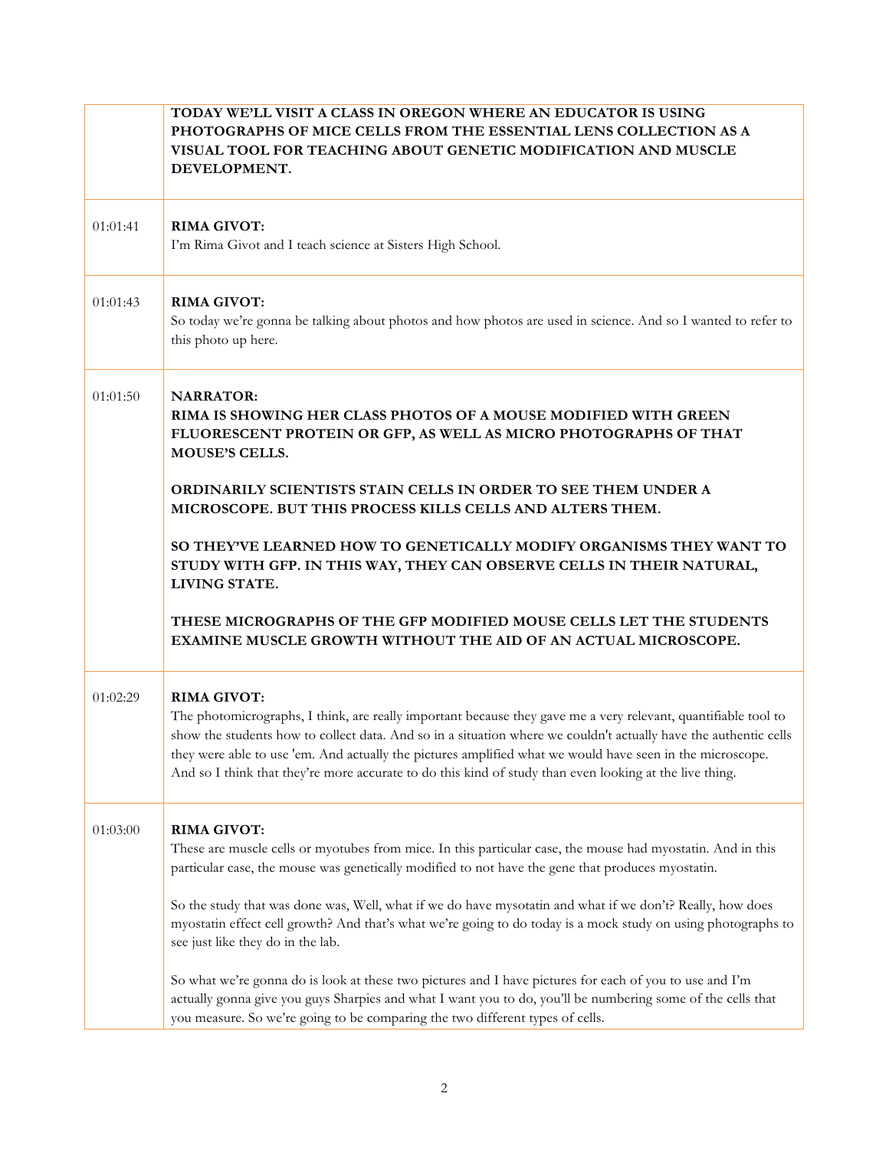|          | TODAY WE'LL VISIT A CLASS IN OREGON WHERE AN EDUCATOR IS USING<br>PHOTOGRAPHS OF MICE CELLS FROM THE ESSENTIAL LENS COLLECTION AS A<br>VISUAL TOOL FOR TEACHING ABOUT GENETIC MODIFICATION AND MUSCLE<br>DEVELOPMENT.                                                                                                                                                                                                                                                            |
|----------|----------------------------------------------------------------------------------------------------------------------------------------------------------------------------------------------------------------------------------------------------------------------------------------------------------------------------------------------------------------------------------------------------------------------------------------------------------------------------------|
| 01:01:41 | <b>RIMA GIVOT:</b><br>I'm Rima Givot and I teach science at Sisters High School.                                                                                                                                                                                                                                                                                                                                                                                                 |
| 01:01:43 | <b>RIMA GIVOT:</b><br>So today we're gonna be talking about photos and how photos are used in science. And so I wanted to refer to<br>this photo up here.                                                                                                                                                                                                                                                                                                                        |
| 01:01:50 | <b>NARRATOR:</b><br>RIMA IS SHOWING HER CLASS PHOTOS OF A MOUSE MODIFIED WITH GREEN<br>FLUORESCENT PROTEIN OR GFP, AS WELL AS MICRO PHOTOGRAPHS OF THAT<br><b>MOUSE'S CELLS.</b>                                                                                                                                                                                                                                                                                                 |
|          | ORDINARILY SCIENTISTS STAIN CELLS IN ORDER TO SEE THEM UNDER A<br>MICROSCOPE. BUT THIS PROCESS KILLS CELLS AND ALTERS THEM.                                                                                                                                                                                                                                                                                                                                                      |
|          | SO THEY'VE LEARNED HOW TO GENETICALLY MODIFY ORGANISMS THEY WANT TO<br>STUDY WITH GFP. IN THIS WAY, THEY CAN OBSERVE CELLS IN THEIR NATURAL,<br>LIVING STATE.                                                                                                                                                                                                                                                                                                                    |
|          | THESE MICROGRAPHS OF THE GFP MODIFIED MOUSE CELLS LET THE STUDENTS<br>EXAMINE MUSCLE GROWTH WITHOUT THE AID OF AN ACTUAL MICROSCOPE.                                                                                                                                                                                                                                                                                                                                             |
| 01:02:29 | <b>RIMA GIVOT:</b><br>The photomicrographs, I think, are really important because they gave me a very relevant, quantifiable tool to<br>show the students how to collect data. And so in a situation where we couldn't actually have the authentic cells<br>they were able to use 'em. And actually the pictures amplified what we would have seen in the microscope.<br>And so I think that they're more accurate to do this kind of study than even looking at the live thing. |
| 01:03:00 | <b>RIMA GIVOT:</b><br>These are muscle cells or myotubes from mice. In this particular case, the mouse had myostatin. And in this<br>particular case, the mouse was genetically modified to not have the gene that produces myostatin.                                                                                                                                                                                                                                           |
|          | So the study that was done was, Well, what if we do have mysotatin and what if we don't? Really, how does<br>myostatin effect cell growth? And that's what we're going to do today is a mock study on using photographs to<br>see just like they do in the lab.                                                                                                                                                                                                                  |
|          | So what we're gonna do is look at these two pictures and I have pictures for each of you to use and I'm<br>actually gonna give you guys Sharpies and what I want you to do, you'll be numbering some of the cells that<br>you measure. So we're going to be comparing the two different types of cells.                                                                                                                                                                          |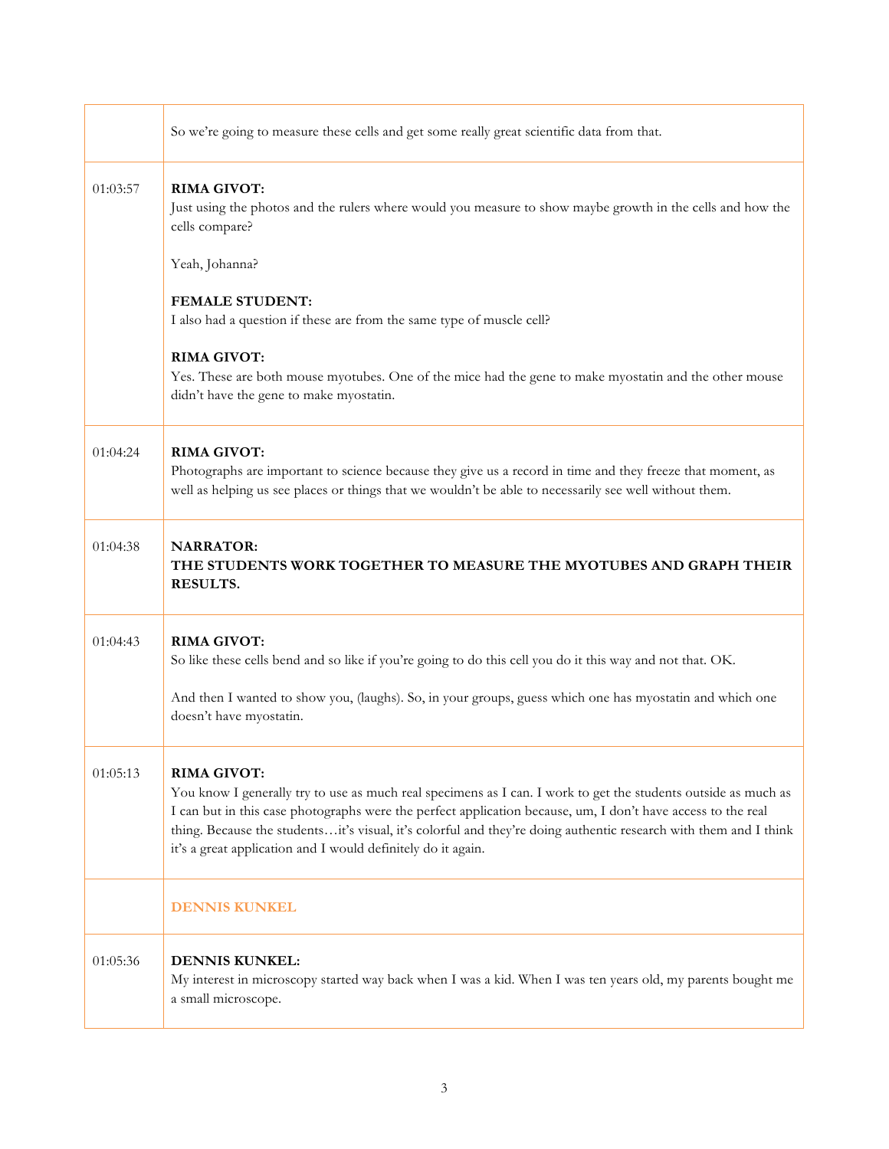|          | So we're going to measure these cells and get some really great scientific data from that.                                                                                                                                                                                                                                                                                                                                               |
|----------|------------------------------------------------------------------------------------------------------------------------------------------------------------------------------------------------------------------------------------------------------------------------------------------------------------------------------------------------------------------------------------------------------------------------------------------|
| 01:03:57 | <b>RIMA GIVOT:</b><br>Just using the photos and the rulers where would you measure to show maybe growth in the cells and how the<br>cells compare?                                                                                                                                                                                                                                                                                       |
|          | Yeah, Johanna?<br><b>FEMALE STUDENT:</b>                                                                                                                                                                                                                                                                                                                                                                                                 |
|          | I also had a question if these are from the same type of muscle cell?                                                                                                                                                                                                                                                                                                                                                                    |
|          | <b>RIMA GIVOT:</b><br>Yes. These are both mouse myotubes. One of the mice had the gene to make myostatin and the other mouse<br>didn't have the gene to make myostatin.                                                                                                                                                                                                                                                                  |
| 01:04:24 | <b>RIMA GIVOT:</b><br>Photographs are important to science because they give us a record in time and they freeze that moment, as<br>well as helping us see places or things that we wouldn't be able to necessarily see well without them.                                                                                                                                                                                               |
| 01:04:38 | <b>NARRATOR:</b><br>THE STUDENTS WORK TOGETHER TO MEASURE THE MYOTUBES AND GRAPH THEIR<br>RESULTS.                                                                                                                                                                                                                                                                                                                                       |
| 01:04:43 | <b>RIMA GIVOT:</b><br>So like these cells bend and so like if you're going to do this cell you do it this way and not that. OK.                                                                                                                                                                                                                                                                                                          |
|          | And then I wanted to show you, (laughs). So, in your groups, guess which one has myostatin and which one<br>doesn't have myostatin.                                                                                                                                                                                                                                                                                                      |
| 01:05:13 | <b>RIMA GIVOT:</b><br>You know I generally try to use as much real specimens as I can. I work to get the students outside as much as<br>I can but in this case photographs were the perfect application because, um, I don't have access to the real<br>thing. Because the studentsit's visual, it's colorful and they're doing authentic research with them and I think<br>it's a great application and I would definitely do it again. |
|          | <b>DENNIS KUNKEL</b>                                                                                                                                                                                                                                                                                                                                                                                                                     |
| 01:05:36 | DENNIS KUNKEL:<br>My interest in microscopy started way back when I was a kid. When I was ten years old, my parents bought me<br>a small microscope.                                                                                                                                                                                                                                                                                     |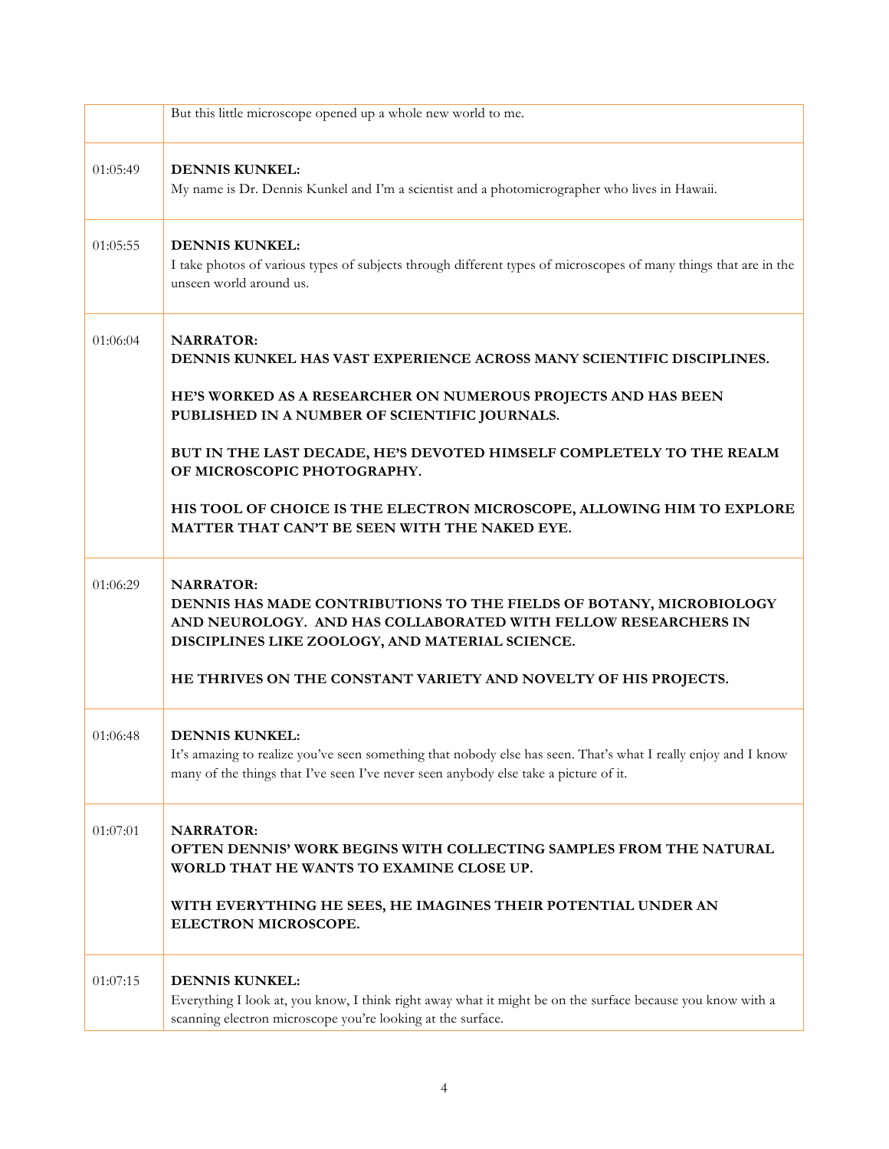|          | But this little microscope opened up a whole new world to me.                                                                                                                                                                   |
|----------|---------------------------------------------------------------------------------------------------------------------------------------------------------------------------------------------------------------------------------|
| 01:05:49 | <b>DENNIS KUNKEL:</b><br>My name is Dr. Dennis Kunkel and I'm a scientist and a photomicrographer who lives in Hawaii.                                                                                                          |
| 01:05:55 | <b>DENNIS KUNKEL:</b><br>I take photos of various types of subjects through different types of microscopes of many things that are in the<br>unseen world around us.                                                            |
| 01:06:04 | <b>NARRATOR:</b><br>DENNIS KUNKEL HAS VAST EXPERIENCE ACROSS MANY SCIENTIFIC DISCIPLINES.<br>HE'S WORKED AS A RESEARCHER ON NUMEROUS PROJECTS AND HAS BEEN                                                                      |
|          | PUBLISHED IN A NUMBER OF SCIENTIFIC JOURNALS.                                                                                                                                                                                   |
|          | BUT IN THE LAST DECADE, HE'S DEVOTED HIMSELF COMPLETELY TO THE REALM<br>OF MICROSCOPIC PHOTOGRAPHY.                                                                                                                             |
|          | HIS TOOL OF CHOICE IS THE ELECTRON MICROSCOPE, ALLOWING HIM TO EXPLORE<br>MATTER THAT CAN'T BE SEEN WITH THE NAKED EYE.                                                                                                         |
| 01:06:29 | <b>NARRATOR:</b><br>DENNIS HAS MADE CONTRIBUTIONS TO THE FIELDS OF BOTANY, MICROBIOLOGY<br>AND NEUROLOGY. AND HAS COLLABORATED WITH FELLOW RESEARCHERS IN<br>DISCIPLINES LIKE ZOOLOGY, AND MATERIAL SCIENCE.                    |
|          | HE THRIVES ON THE CONSTANT VARIETY AND NOVELTY OF HIS PROJECTS.                                                                                                                                                                 |
| 01:06:48 | <b>DENNIS KUNKEL:</b><br>It's amazing to realize you've seen something that nobody else has seen. That's what I really enjoy and I know<br>many of the things that I've seen I've never seen anybody else take a picture of it. |
| 01:07:01 | <b>NARRATOR:</b><br>OFTEN DENNIS' WORK BEGINS WITH COLLECTING SAMPLES FROM THE NATURAL<br>WORLD THAT HE WANTS TO EXAMINE CLOSE UP.                                                                                              |
|          | WITH EVERYTHING HE SEES, HE IMAGINES THEIR POTENTIAL UNDER AN<br>ELECTRON MICROSCOPE.                                                                                                                                           |
| 01:07:15 | <b>DENNIS KUNKEL:</b><br>Everything I look at, you know, I think right away what it might be on the surface because you know with a<br>scanning electron microscope you're looking at the surface.                              |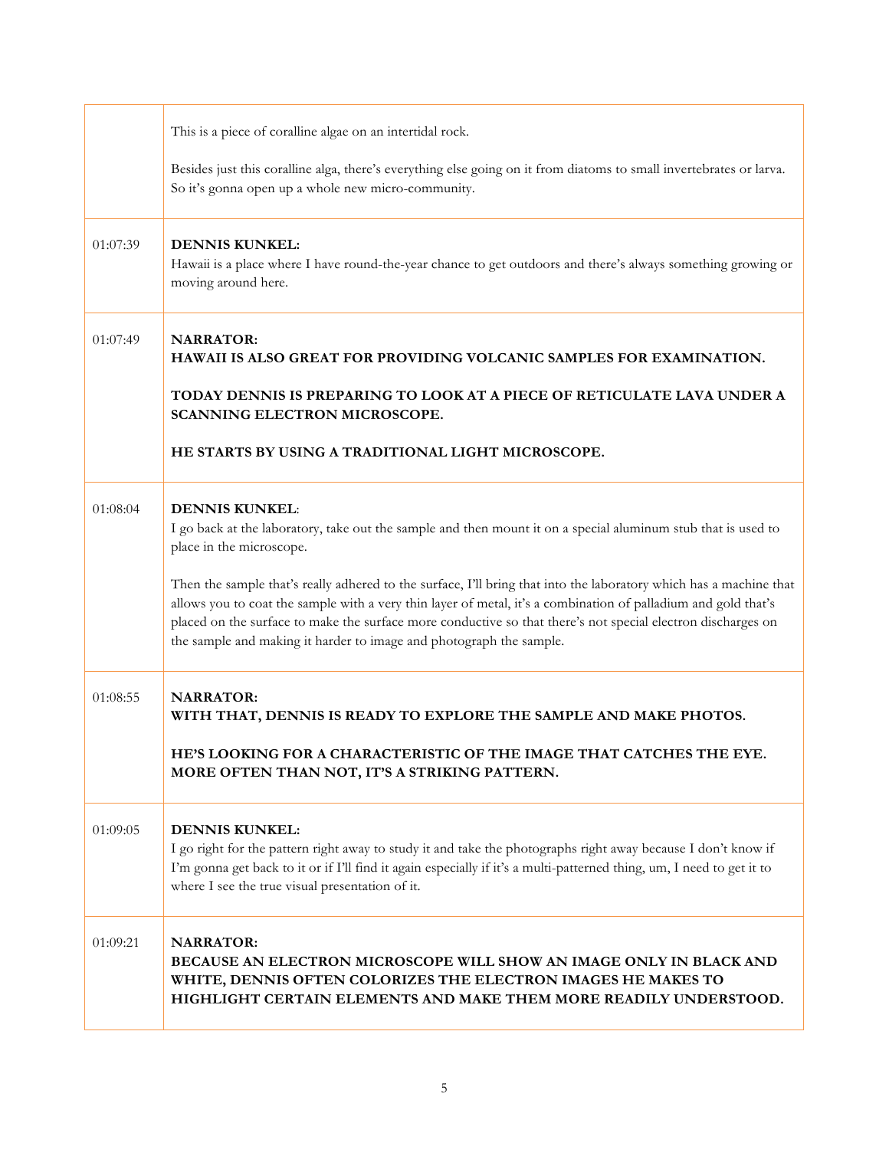|          | This is a piece of coralline algae on an intertidal rock.                                                                                                                                                                                                                                                                                                                                                                   |
|----------|-----------------------------------------------------------------------------------------------------------------------------------------------------------------------------------------------------------------------------------------------------------------------------------------------------------------------------------------------------------------------------------------------------------------------------|
|          | Besides just this coralline alga, there's everything else going on it from diatoms to small invertebrates or larva.<br>So it's gonna open up a whole new micro-community.                                                                                                                                                                                                                                                   |
| 01:07:39 | <b>DENNIS KUNKEL:</b><br>Hawaii is a place where I have round-the-year chance to get outdoors and there's always something growing or<br>moving around here.                                                                                                                                                                                                                                                                |
| 01:07:49 | <b>NARRATOR:</b><br>HAWAII IS ALSO GREAT FOR PROVIDING VOLCANIC SAMPLES FOR EXAMINATION.                                                                                                                                                                                                                                                                                                                                    |
|          | TODAY DENNIS IS PREPARING TO LOOK AT A PIECE OF RETICULATE LAVA UNDER A<br>SCANNING ELECTRON MICROSCOPE.                                                                                                                                                                                                                                                                                                                    |
|          | HE STARTS BY USING A TRADITIONAL LIGHT MICROSCOPE.                                                                                                                                                                                                                                                                                                                                                                          |
| 01:08:04 | <b>DENNIS KUNKEL:</b><br>I go back at the laboratory, take out the sample and then mount it on a special aluminum stub that is used to<br>place in the microscope.                                                                                                                                                                                                                                                          |
|          | Then the sample that's really adhered to the surface, I'll bring that into the laboratory which has a machine that<br>allows you to coat the sample with a very thin layer of metal, it's a combination of palladium and gold that's<br>placed on the surface to make the surface more conductive so that there's not special electron discharges on<br>the sample and making it harder to image and photograph the sample. |
| 01:08:55 | <b>NARRATOR:</b><br>WITH THAT, DENNIS IS READY TO EXPLORE THE SAMPLE AND MAKE PHOTOS.                                                                                                                                                                                                                                                                                                                                       |
|          | HE'S LOOKING FOR A CHARACTERISTIC OF THE IMAGE THAT CATCHES THE EYE.<br>MORE OFTEN THAN NOT, IT'S A STRIKING PATTERN.                                                                                                                                                                                                                                                                                                       |
| 01:09:05 | <b>DENNIS KUNKEL:</b><br>I go right for the pattern right away to study it and take the photographs right away because I don't know if<br>I'm gonna get back to it or if I'll find it again especially if it's a multi-patterned thing, um, I need to get it to<br>where I see the true visual presentation of it.                                                                                                          |
| 01:09:21 | <b>NARRATOR:</b><br>BECAUSE AN ELECTRON MICROSCOPE WILL SHOW AN IMAGE ONLY IN BLACK AND<br>WHITE, DENNIS OFTEN COLORIZES THE ELECTRON IMAGES HE MAKES TO<br>HIGHLIGHT CERTAIN ELEMENTS AND MAKE THEM MORE READILY UNDERSTOOD.                                                                                                                                                                                               |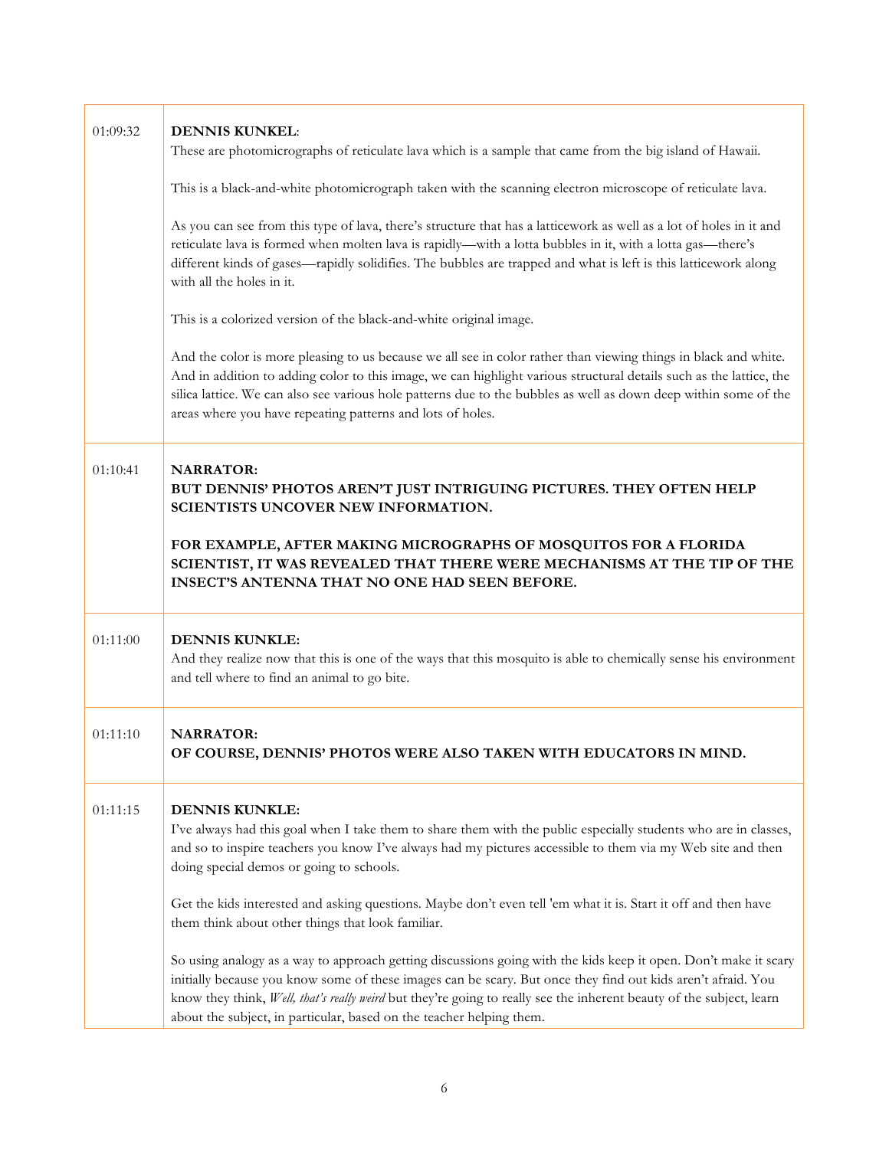| 01:09:32 | <b>DENNIS KUNKEL:</b>                                                                                                                                                                                                                                                                                                                                                                                                                                                                |
|----------|--------------------------------------------------------------------------------------------------------------------------------------------------------------------------------------------------------------------------------------------------------------------------------------------------------------------------------------------------------------------------------------------------------------------------------------------------------------------------------------|
|          | These are photomicrographs of reticulate lava which is a sample that came from the big island of Hawaii.                                                                                                                                                                                                                                                                                                                                                                             |
|          | This is a black-and-white photomicrograph taken with the scanning electron microscope of reticulate lava.                                                                                                                                                                                                                                                                                                                                                                            |
|          | As you can see from this type of lava, there's structure that has a latticework as well as a lot of holes in it and<br>reticulate lava is formed when molten lava is rapidly—with a lotta bubbles in it, with a lotta gas—there's<br>different kinds of gases—rapidly solidifies. The bubbles are trapped and what is left is this latticework along<br>with all the holes in it.                                                                                                    |
|          | This is a colorized version of the black-and-white original image.                                                                                                                                                                                                                                                                                                                                                                                                                   |
|          | And the color is more pleasing to us because we all see in color rather than viewing things in black and white.<br>And in addition to adding color to this image, we can highlight various structural details such as the lattice, the<br>silica lattice. We can also see various hole patterns due to the bubbles as well as down deep within some of the<br>areas where you have repeating patterns and lots of holes.                                                             |
| 01:10:41 | <b>NARRATOR:</b><br>BUT DENNIS' PHOTOS AREN'T JUST INTRIGUING PICTURES. THEY OFTEN HELP<br>SCIENTISTS UNCOVER NEW INFORMATION.                                                                                                                                                                                                                                                                                                                                                       |
|          | FOR EXAMPLE, AFTER MAKING MICROGRAPHS OF MOSQUITOS FOR A FLORIDA<br>SCIENTIST, IT WAS REVEALED THAT THERE WERE MECHANISMS AT THE TIP OF THE<br><b>INSECT'S ANTENNA THAT NO ONE HAD SEEN BEFORE.</b>                                                                                                                                                                                                                                                                                  |
| 01:11:00 | <b>DENNIS KUNKLE:</b><br>And they realize now that this is one of the ways that this mosquito is able to chemically sense his environment<br>and tell where to find an animal to go bite.                                                                                                                                                                                                                                                                                            |
| 01:11:10 | <b>NARRATOR:</b><br>OF COURSE, DENNIS' PHOTOS WERE ALSO TAKEN WITH EDUCATORS IN MIND.                                                                                                                                                                                                                                                                                                                                                                                                |
| 01:11:15 | <b>DENNIS KUNKLE:</b><br>I've always had this goal when I take them to share them with the public especially students who are in classes,<br>and so to inspire teachers you know I've always had my pictures accessible to them via my Web site and then<br>doing special demos or going to schools.<br>Get the kids interested and asking questions. Maybe don't even tell 'em what it is. Start it off and then have                                                               |
|          | them think about other things that look familiar.<br>So using analogy as a way to approach getting discussions going with the kids keep it open. Don't make it scary<br>initially because you know some of these images can be scary. But once they find out kids aren't afraid. You<br>know they think, Well, that's really weird but they're going to really see the inherent beauty of the subject, learn<br>about the subject, in particular, based on the teacher helping them. |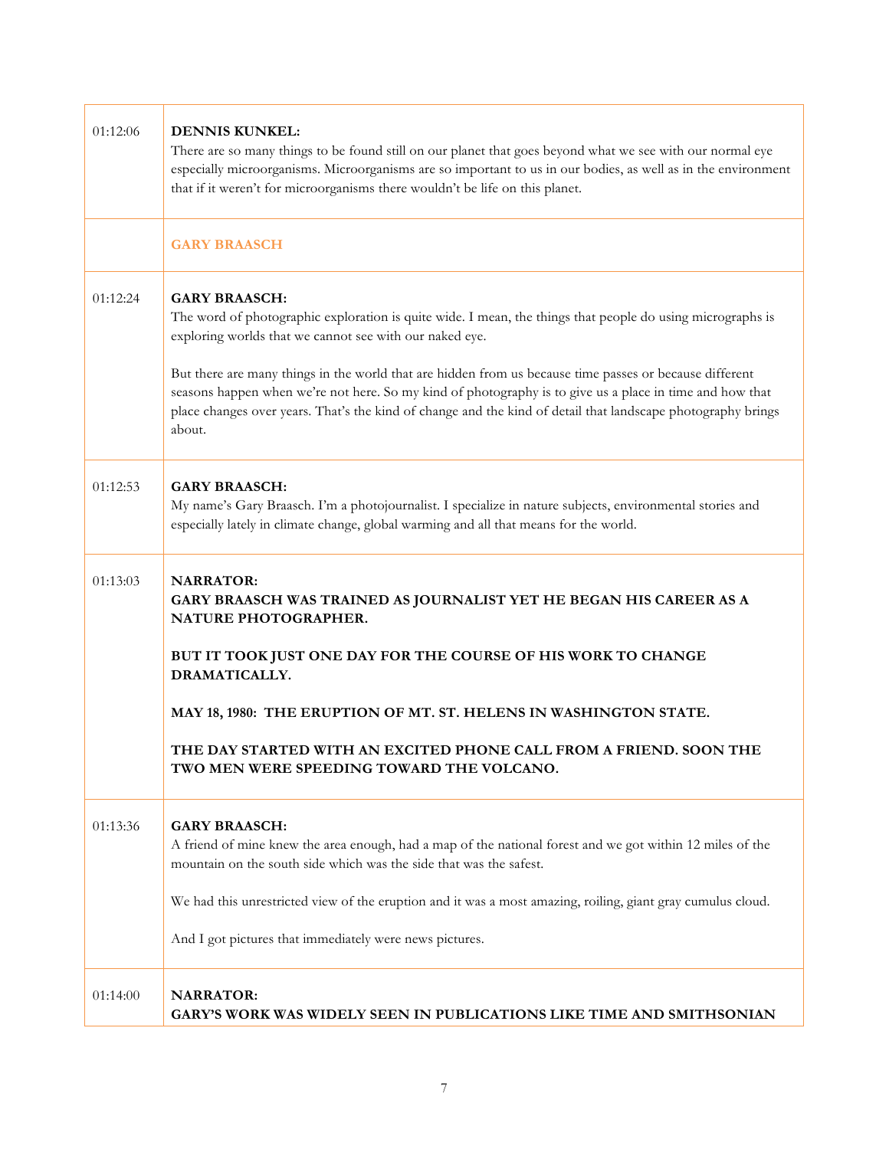| 01:12:06 | <b>DENNIS KUNKEL:</b><br>There are so many things to be found still on our planet that goes beyond what we see with our normal eye<br>especially microorganisms. Microorganisms are so important to us in our bodies, as well as in the environment<br>that if it weren't for microorganisms there wouldn't be life on this planet.           |
|----------|-----------------------------------------------------------------------------------------------------------------------------------------------------------------------------------------------------------------------------------------------------------------------------------------------------------------------------------------------|
|          | <b>GARY BRAASCH</b>                                                                                                                                                                                                                                                                                                                           |
| 01:12:24 | <b>GARY BRAASCH:</b><br>The word of photographic exploration is quite wide. I mean, the things that people do using micrographs is<br>exploring worlds that we cannot see with our naked eye.                                                                                                                                                 |
|          | But there are many things in the world that are hidden from us because time passes or because different<br>seasons happen when we're not here. So my kind of photography is to give us a place in time and how that<br>place changes over years. That's the kind of change and the kind of detail that landscape photography brings<br>about. |
| 01:12:53 | <b>GARY BRAASCH:</b><br>My name's Gary Braasch. I'm a photojournalist. I specialize in nature subjects, environmental stories and<br>especially lately in climate change, global warming and all that means for the world.                                                                                                                    |
| 01:13:03 | <b>NARRATOR:</b><br>GARY BRAASCH WAS TRAINED AS JOURNALIST YET HE BEGAN HIS CAREER AS A<br>NATURE PHOTOGRAPHER.                                                                                                                                                                                                                               |
|          | BUT IT TOOK JUST ONE DAY FOR THE COURSE OF HIS WORK TO CHANGE<br>DRAMATICALLY.                                                                                                                                                                                                                                                                |
|          | MAY 18, 1980: THE ERUPTION OF MT. ST. HELENS IN WASHINGTON STATE.                                                                                                                                                                                                                                                                             |
|          | THE DAY STARTED WITH AN EXCITED PHONE CALL FROM A FRIEND. SOON THE<br>TWO MEN WERE SPEEDING TOWARD THE VOLCANO.                                                                                                                                                                                                                               |
| 01:13:36 | <b>GARY BRAASCH:</b><br>A friend of mine knew the area enough, had a map of the national forest and we got within 12 miles of the<br>mountain on the south side which was the side that was the safest.                                                                                                                                       |
|          | We had this unrestricted view of the eruption and it was a most amazing, roiling, giant gray cumulus cloud.                                                                                                                                                                                                                                   |
|          | And I got pictures that immediately were news pictures.                                                                                                                                                                                                                                                                                       |
| 01:14:00 | <b>NARRATOR:</b><br>GARY'S WORK WAS WIDELY SEEN IN PUBLICATIONS LIKE TIME AND SMITHSONIAN                                                                                                                                                                                                                                                     |

Г

 $\top$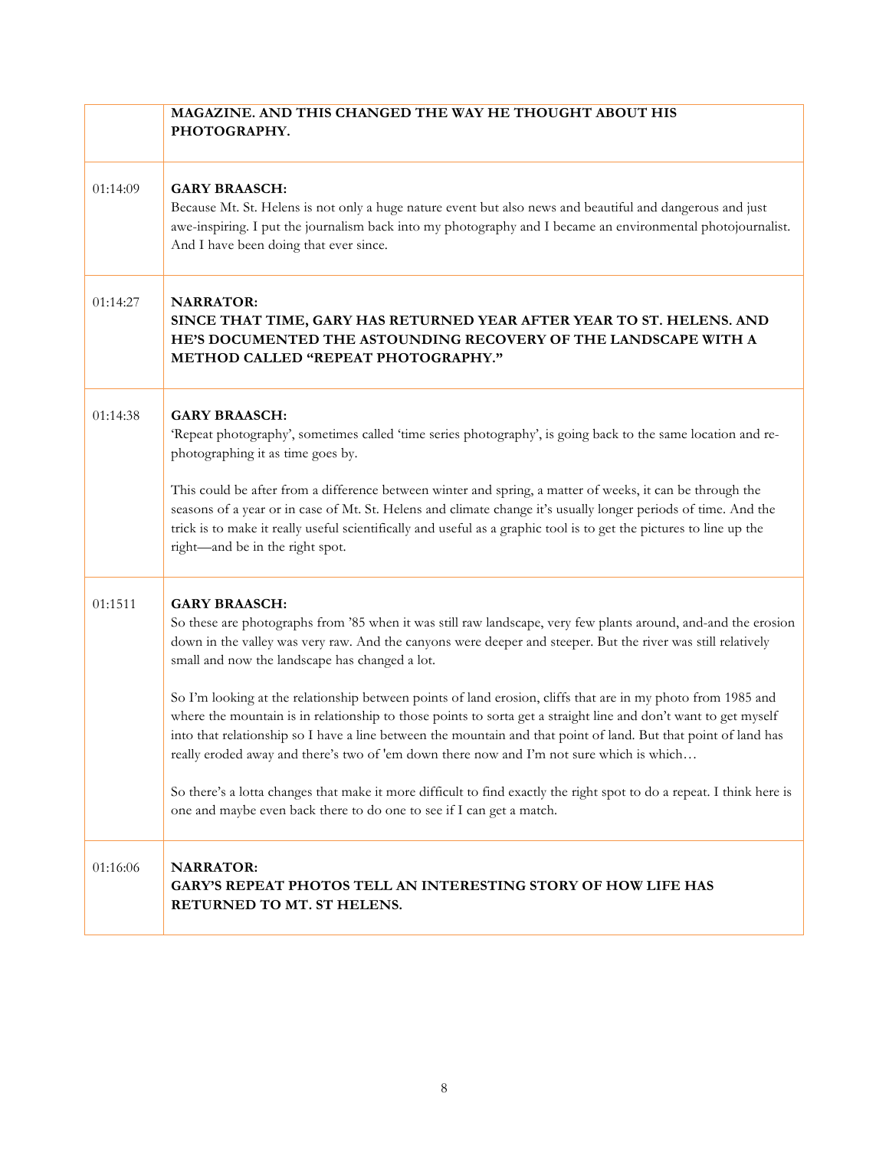|          | MAGAZINE. AND THIS CHANGED THE WAY HE THOUGHT ABOUT HIS<br>PHOTOGRAPHY.                                                                                                                                                                                                                                                                                                                                                                                                                                                                                                                                                                                                                                                                                                                                                                                                                                                                                     |
|----------|-------------------------------------------------------------------------------------------------------------------------------------------------------------------------------------------------------------------------------------------------------------------------------------------------------------------------------------------------------------------------------------------------------------------------------------------------------------------------------------------------------------------------------------------------------------------------------------------------------------------------------------------------------------------------------------------------------------------------------------------------------------------------------------------------------------------------------------------------------------------------------------------------------------------------------------------------------------|
| 01:14:09 | <b>GARY BRAASCH:</b><br>Because Mt. St. Helens is not only a huge nature event but also news and beautiful and dangerous and just<br>awe-inspiring. I put the journalism back into my photography and I became an environmental photojournalist.<br>And I have been doing that ever since.                                                                                                                                                                                                                                                                                                                                                                                                                                                                                                                                                                                                                                                                  |
| 01:14:27 | <b>NARRATOR:</b><br>SINCE THAT TIME, GARY HAS RETURNED YEAR AFTER YEAR TO ST. HELENS. AND<br>HE'S DOCUMENTED THE ASTOUNDING RECOVERY OF THE LANDSCAPE WITH A<br>METHOD CALLED "REPEAT PHOTOGRAPHY."                                                                                                                                                                                                                                                                                                                                                                                                                                                                                                                                                                                                                                                                                                                                                         |
| 01:14:38 | <b>GARY BRAASCH:</b><br>'Repeat photography', sometimes called 'time series photography', is going back to the same location and re-<br>photographing it as time goes by.<br>This could be after from a difference between winter and spring, a matter of weeks, it can be through the<br>seasons of a year or in case of Mt. St. Helens and climate change it's usually longer periods of time. And the<br>trick is to make it really useful scientifically and useful as a graphic tool is to get the pictures to line up the<br>right-and be in the right spot.                                                                                                                                                                                                                                                                                                                                                                                          |
| 01:1511  | <b>GARY BRAASCH:</b><br>So these are photographs from '85 when it was still raw landscape, very few plants around, and-and the erosion<br>down in the valley was very raw. And the canyons were deeper and steeper. But the river was still relatively<br>small and now the landscape has changed a lot.<br>So I'm looking at the relationship between points of land erosion, cliffs that are in my photo from 1985 and<br>where the mountain is in relationship to those points to sorta get a straight line and don't want to get myself<br>into that relationship so I have a line between the mountain and that point of land. But that point of land has<br>really eroded away and there's two of 'em down there now and I'm not sure which is which<br>So there's a lotta changes that make it more difficult to find exactly the right spot to do a repeat. I think here is<br>one and maybe even back there to do one to see if I can get a match. |
| 01:16:06 | <b>NARRATOR:</b><br>GARY'S REPEAT PHOTOS TELL AN INTERESTING STORY OF HOW LIFE HAS<br>RETURNED TO MT. ST HELENS.                                                                                                                                                                                                                                                                                                                                                                                                                                                                                                                                                                                                                                                                                                                                                                                                                                            |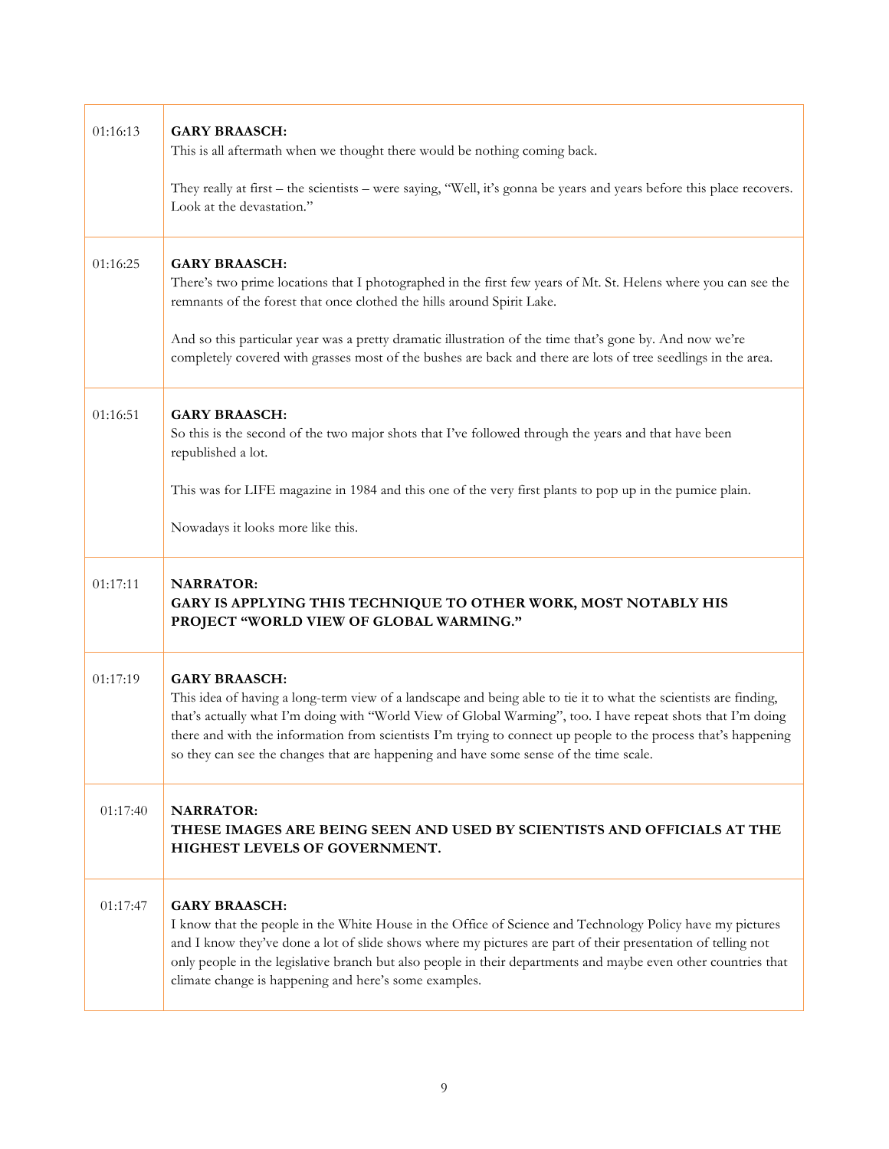| 01:16:13 | <b>GARY BRAASCH:</b><br>This is all aftermath when we thought there would be nothing coming back.<br>They really at first – the scientists – were saying, "Well, it's gonna be years and years before this place recovers.<br>Look at the devastation."                                                                                                                                                                                                            |
|----------|--------------------------------------------------------------------------------------------------------------------------------------------------------------------------------------------------------------------------------------------------------------------------------------------------------------------------------------------------------------------------------------------------------------------------------------------------------------------|
| 01:16:25 | <b>GARY BRAASCH:</b><br>There's two prime locations that I photographed in the first few years of Mt. St. Helens where you can see the<br>remnants of the forest that once clothed the hills around Spirit Lake.<br>And so this particular year was a pretty dramatic illustration of the time that's gone by. And now we're<br>completely covered with grasses most of the bushes are back and there are lots of tree seedlings in the area.                      |
| 01:16:51 | <b>GARY BRAASCH:</b><br>So this is the second of the two major shots that I've followed through the years and that have been<br>republished a lot.<br>This was for LIFE magazine in 1984 and this one of the very first plants to pop up in the pumice plain.<br>Nowadays it looks more like this.                                                                                                                                                                 |
| 01:17:11 | <b>NARRATOR:</b><br>GARY IS APPLYING THIS TECHNIQUE TO OTHER WORK, MOST NOTABLY HIS<br>PROJECT "WORLD VIEW OF GLOBAL WARMING."                                                                                                                                                                                                                                                                                                                                     |
| 01:17:19 | <b>GARY BRAASCH:</b><br>This idea of having a long-term view of a landscape and being able to tie it to what the scientists are finding,<br>that's actually what I'm doing with "World View of Global Warming", too. I have repeat shots that I'm doing<br>there and with the information from scientists I'm trying to connect up people to the process that's happening<br>so they can see the changes that are happening and have some sense of the time scale. |
| 01:17:40 | <b>NARRATOR:</b><br>THESE IMAGES ARE BEING SEEN AND USED BY SCIENTISTS AND OFFICIALS AT THE<br>HIGHEST LEVELS OF GOVERNMENT.                                                                                                                                                                                                                                                                                                                                       |
| 01:17:47 | <b>GARY BRAASCH:</b><br>I know that the people in the White House in the Office of Science and Technology Policy have my pictures<br>and I know they've done a lot of slide shows where my pictures are part of their presentation of telling not<br>only people in the legislative branch but also people in their departments and maybe even other countries that<br>climate change is happening and here's some examples.                                       |

 $\Gamma$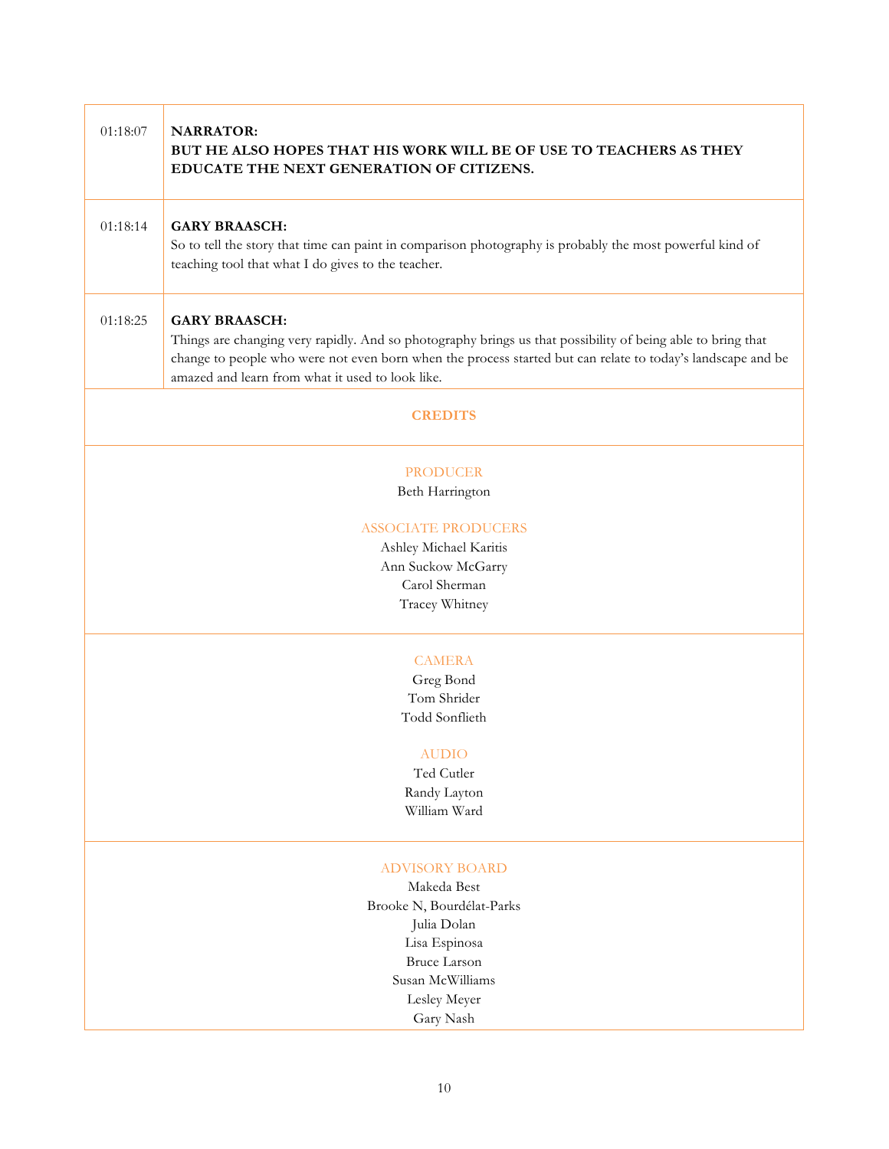| 01:18:07                           | <b>NARRATOR:</b><br>BUT HE ALSO HOPES THAT HIS WORK WILL BE OF USE TO TEACHERS AS THEY<br>EDUCATE THE NEXT GENERATION OF CITIZENS.                                                                                                                                                                     |  |
|------------------------------------|--------------------------------------------------------------------------------------------------------------------------------------------------------------------------------------------------------------------------------------------------------------------------------------------------------|--|
| 01:18:14                           | <b>GARY BRAASCH:</b><br>So to tell the story that time can paint in comparison photography is probably the most powerful kind of<br>teaching tool that what I do gives to the teacher.                                                                                                                 |  |
| 01:18:25                           | <b>GARY BRAASCH:</b><br>Things are changing very rapidly. And so photography brings us that possibility of being able to bring that<br>change to people who were not even born when the process started but can relate to today's landscape and be<br>amazed and learn from what it used to look like. |  |
|                                    | <b>CREDITS</b>                                                                                                                                                                                                                                                                                         |  |
| <b>PRODUCER</b><br>Beth Harrington |                                                                                                                                                                                                                                                                                                        |  |
| <b>ASSOCIATE PRODUCERS</b>         |                                                                                                                                                                                                                                                                                                        |  |
|                                    | Ashley Michael Karitis                                                                                                                                                                                                                                                                                 |  |
|                                    | Ann Suckow McGarry                                                                                                                                                                                                                                                                                     |  |
|                                    | Carol Sherman                                                                                                                                                                                                                                                                                          |  |
|                                    | Tracey Whitney                                                                                                                                                                                                                                                                                         |  |
|                                    | <b>CAMERA</b>                                                                                                                                                                                                                                                                                          |  |
|                                    | Greg Bond                                                                                                                                                                                                                                                                                              |  |
|                                    | Tom Shrider                                                                                                                                                                                                                                                                                            |  |
|                                    | Todd Sonflieth                                                                                                                                                                                                                                                                                         |  |
|                                    | <b>AUDIO</b>                                                                                                                                                                                                                                                                                           |  |
|                                    | Ted Cutler                                                                                                                                                                                                                                                                                             |  |
|                                    | Randy Layton                                                                                                                                                                                                                                                                                           |  |
|                                    | William Ward                                                                                                                                                                                                                                                                                           |  |
|                                    | <b>ADVISORY BOARD</b>                                                                                                                                                                                                                                                                                  |  |
|                                    | Makeda Best                                                                                                                                                                                                                                                                                            |  |
|                                    | Brooke N, Bourdélat-Parks                                                                                                                                                                                                                                                                              |  |
|                                    | Julia Dolan                                                                                                                                                                                                                                                                                            |  |
|                                    | Lisa Espinosa                                                                                                                                                                                                                                                                                          |  |
|                                    | <b>Bruce Larson</b>                                                                                                                                                                                                                                                                                    |  |
|                                    | Susan McWilliams                                                                                                                                                                                                                                                                                       |  |
|                                    | Lesley Meyer                                                                                                                                                                                                                                                                                           |  |
|                                    | Gary Nash                                                                                                                                                                                                                                                                                              |  |

Г

т

٦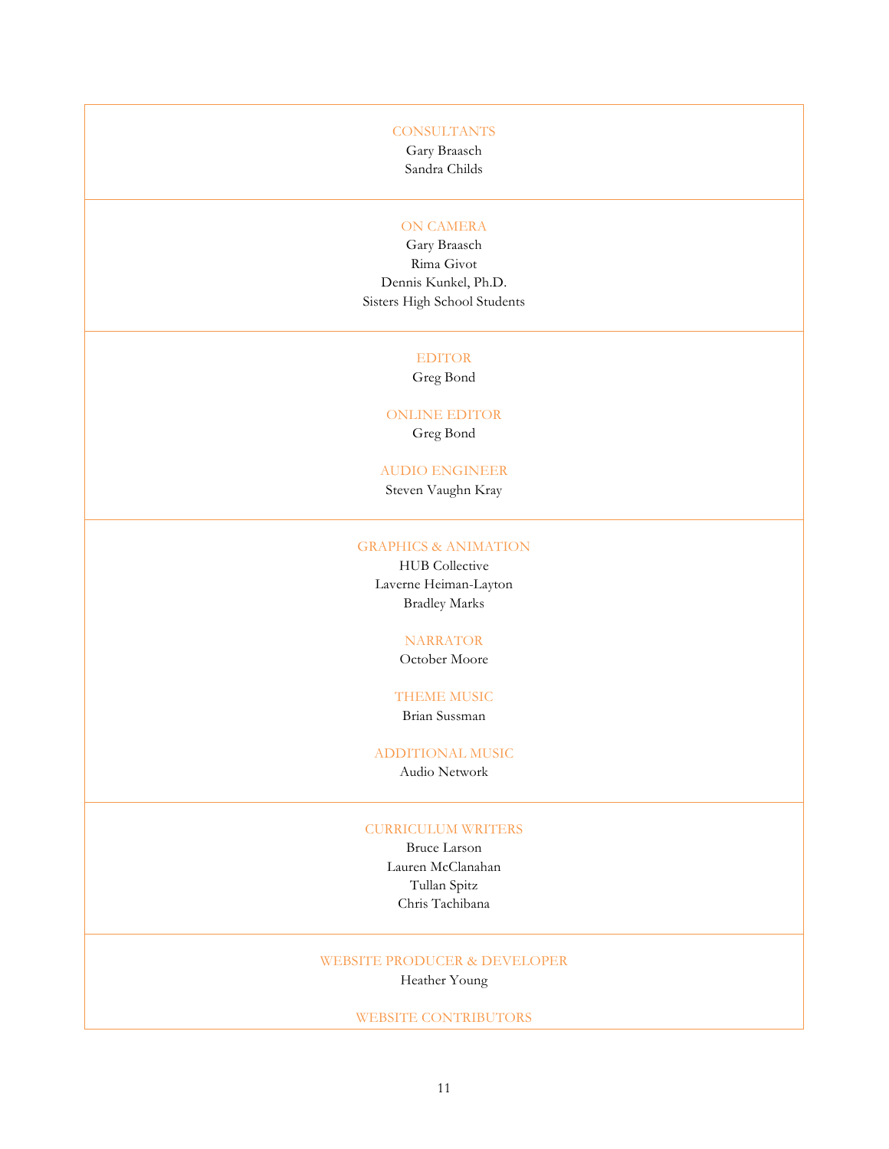#### **CONSULTANTS**

Gary Braasch Sandra Childs

#### ON CAMERA

Gary Braasch Rima Givot Dennis Kunkel, Ph.D. Sisters High School Students

#### EDITOR

Greg Bond

#### ONLINE EDITOR

Greg Bond

#### AUDIO ENGINEER

Steven Vaughn Kray

#### GRAPHICS & ANIMATION

HUB Collective Laverne Heiman-Layton Bradley Marks

### NARRATOR

October Moore

# THEME MUSIC

Brian Sussman

#### ADDITIONAL MUSIC

Audio Network

### CURRICULUM WRITERS

Bruce Larson Lauren McClanahan Tullan Spitz Chris Tachibana

## WEBSITE PRODUCER & DEVELOPER

Heather Young

### WEBSITE CONTRIBUTORS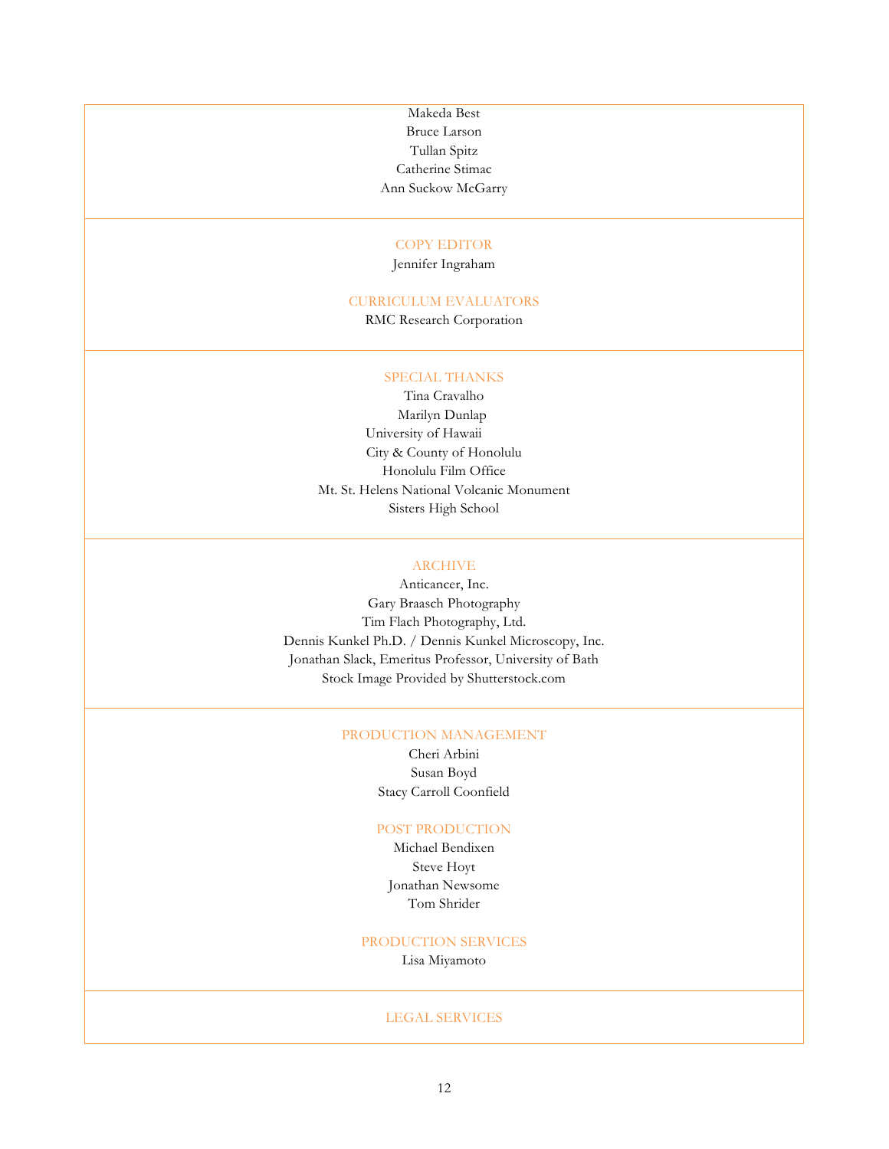Makeda Best Bruce Larson Tullan Spitz Catherine Stimac Ann Suckow McGarry

#### COPY EDITOR

Jennifer Ingraham

#### CURRICULUM EVALUATORS

RMC Research Corporation

### SPECIAL THANKS

Tina Cravalho Marilyn Dunlap University of Hawaii City & County of Honolulu Honolulu Film Office Mt. St. Helens National Volcanic Monument Sisters High School

#### ARCHIVE

Anticancer, Inc. Gary Braasch Photography Tim Flach Photography, Ltd. Dennis Kunkel Ph.D. / Dennis Kunkel Microscopy, Inc. Jonathan Slack, Emeritus Professor, University of Bath Stock Image Provided by Shutterstock.com

#### PRODUCTION MANAGEMENT

Cheri Arbini Susan Boyd Stacy Carroll Coonfield

#### POST PRODUCTION

Michael Bendixen Steve Hoyt Jonathan Newsome Tom Shrider

#### PRODUCTION SERVICES

Lisa Miyamoto

#### LEGAL SERVICES